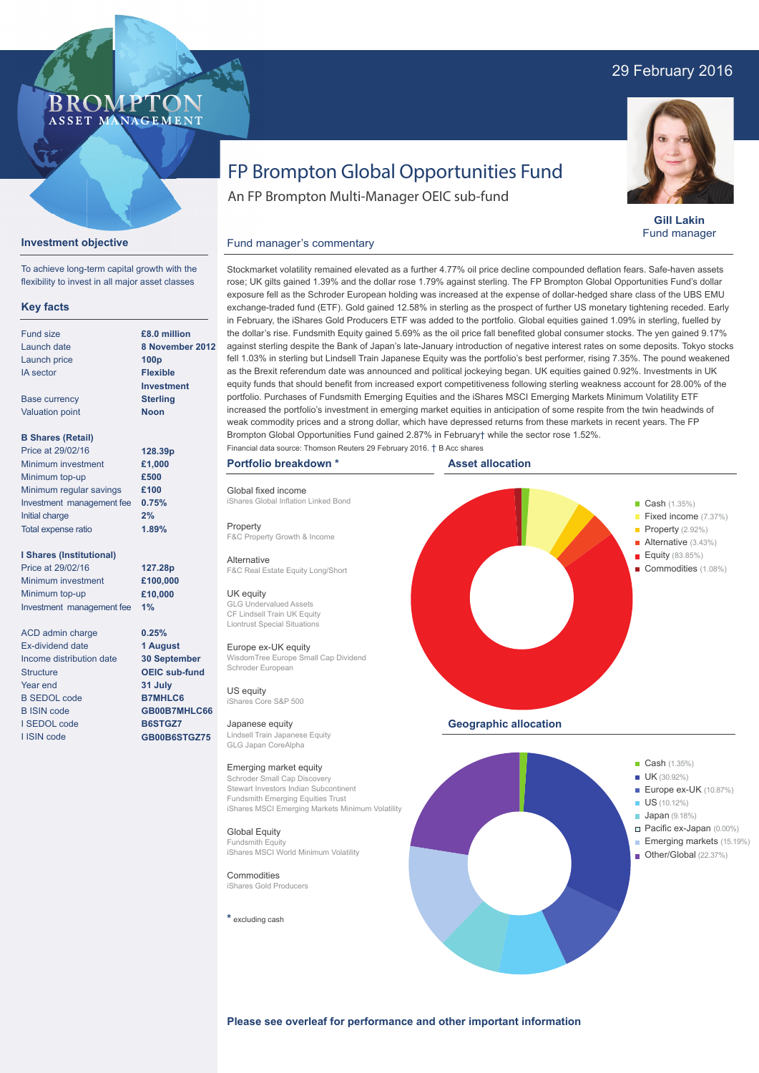# 29 February 2016



**Gill Lakin** Fund manager

# FP Brompton Global Opportunities Fund

An FP Brompton Multi-Manager OEIC sub-fund

## **Investment objective**

BROMP"

ASSET MANAGEMENT

To achieve long-term capital growth with the flexibility to invest in all major asset classes

### **Key facts**

| Fund size                 | £8.0 million      |
|---------------------------|-------------------|
| Launch date               | 8 November        |
| Launch price              | 100 <sub>p</sub>  |
| <b>IA</b> sector          | <b>Flexible</b>   |
|                           | <b>Investment</b> |
| <b>Base currency</b>      | <b>Sterling</b>   |
| <b>Valuation point</b>    | <b>Noon</b>       |
| <b>B Shares (Retail)</b>  |                   |
| Price at 29/02/16         | 128.39p           |
| Minimum investment        | £1,000            |
| Minimum top-up            | £500              |
| Minimum regular savings   | £100              |
| Investment management fee | 0.75%             |
| Initial charge            | 2%                |
| Total expense ratio       | 1.89%             |

#### **I Shares (Institutional)**

Price at 29/02/16 Minimum investment Minimum top-up Investment management fee **1%**

**127.28p £100,000 £10,000**

**0.25% 1 August 30 September OEIC sub-fund 31 July B7MHLC6 GB00B7MHLC66 B6STGZ7 GB00B6STGZ75**

ACD admin charge Ex-dividend date Income distribution date **Structure** Year end B SEDOL code B ISIN code I SEDOL code I ISIN code

**ber 2012** rose; UK gilts gained 1.39% and the dollar rose 1.79% against sterling. The FP Brompton Global Opportunities Fund's dollar exposure fell as the Schroder European holding was increased at the expense of dollar-hedged share class of the UBS EMU exchange-traded fund (ETF). Gold gained 12.58% in sterling as the prospect of further US monetary tightening receded. Early in February, the iShares Gold Producers ETF was added to the portfolio. Global equities gained 1.09% in sterling, fuelled by the dollar's rise. Fundsmith Equity gained 5.69% as the oil price fall benefited global consumer stocks. The yen gained 9.17% against sterling despite the Bank of Japan's late-January introduction of negative interest rates on some deposits. Tokyo stocks fell 1.03% in sterling but Lindsell Train Japanese Equity was the portfolio's best performer, rising 7.35%. The pound weakened as the Brexit referendum date was announced and political jockeying began. UK equities gained 0.92%. Investments in UK equity funds that should benefit from increased export competitiveness following sterling weakness account for 28.00% of the portfolio. Purchases of Fundsmith Emerging Equities and the iShares MSCI Emerging Markets Minimum Volatility ETF increased the portfolio's investment in emerging market equities in anticipation of some respite from the twin headwinds of weak commodity prices and a strong dollar, which have depressed returns from these markets in recent years. The FP Brompton Global Opportunities Fund gained 2.87% in February† while the sector rose 1.52%.

Stockmarket volatility remained elevated as a further 4.77% oil price decline compounded deflation fears. Safe-haven assets

#### **Portfolio breakdown \***

Fund manager's commentary

Global fixed income iShares Global Inflation Linked Bond

**Property** F&C Property Growth & Income

Alternative F&C Real Estate Equity Long/Short

#### UK equity GLG Undervalued Assets

CF Lindsell Train UK Equity Liontrust Special Situations

Europe ex-UK equity WisdomTree Europe Small Cap Dividend Schroder European

US equity iShares Core S&P 500

Japanese equity Lindsell Train Japanese Equity GLG Japan CoreAlpha

#### Emerging market equity

Schroder Small Cap Discov Stewart Investors Indian Subcontinent Fundsmith Emerging Equities Trust iShares MSCI Emerging Markets Minimum Volatility

Global Equity Fundsmith Equity iShares MSCI World Minimum Volatility

**Commodities** iShares Gold Producers

**\*** excluding cash





**Please see overleaf for performance and other important information**